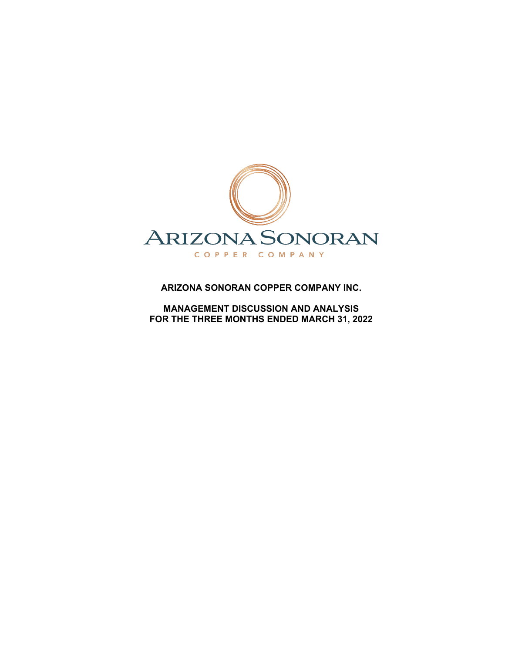

## **ARIZONA SONORAN COPPER COMPANY INC.**

**MANAGEMENT DISCUSSION AND ANALYSIS FOR THE THREE MONTHS ENDED MARCH 31, 2022**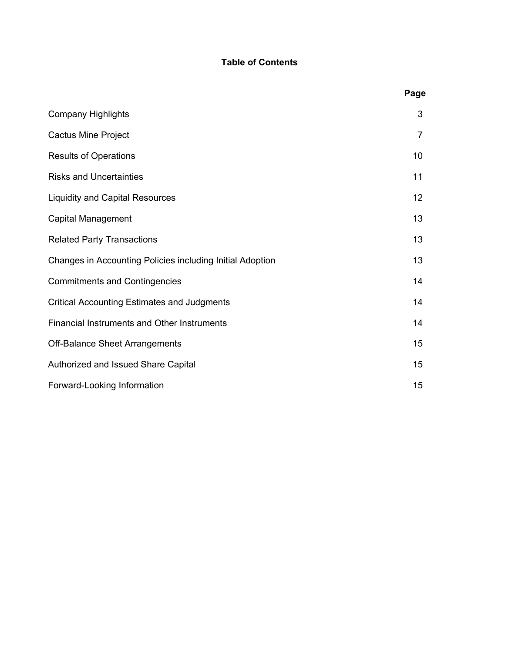# **Table of Contents**

|                                                           | Page |
|-----------------------------------------------------------|------|
| <b>Company Highlights</b>                                 | 3    |
| <b>Cactus Mine Project</b>                                | 7    |
| <b>Results of Operations</b>                              | 10   |
| <b>Risks and Uncertainties</b>                            | 11   |
| <b>Liquidity and Capital Resources</b>                    | 12   |
| <b>Capital Management</b>                                 | 13   |
| <b>Related Party Transactions</b>                         | 13   |
| Changes in Accounting Policies including Initial Adoption | 13   |
| <b>Commitments and Contingencies</b>                      | 14   |
| <b>Critical Accounting Estimates and Judgments</b>        | 14   |
| <b>Financial Instruments and Other Instruments</b>        | 14   |
| <b>Off-Balance Sheet Arrangements</b>                     | 15   |
| Authorized and Issued Share Capital                       | 15   |
| Forward-Looking Information                               | 15   |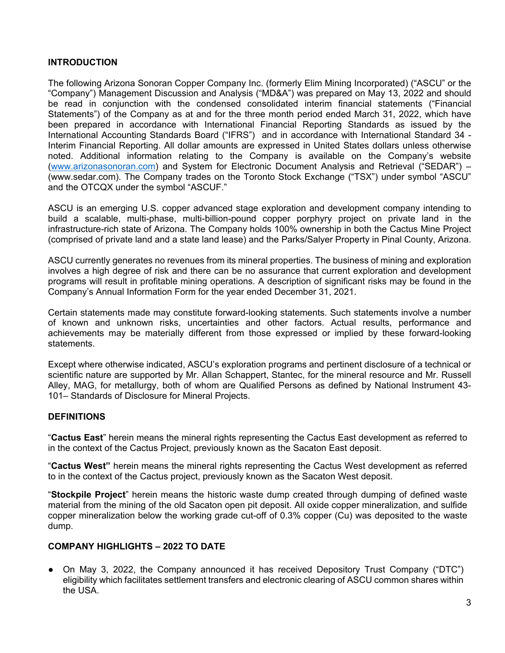## **INTRODUCTION**

The following Arizona Sonoran Copper Company Inc. (formerly Elim Mining Incorporated) ("ASCU" or the "Company") Management Discussion and Analysis ("MD&A") was prepared on May 13, 2022 and should be read in conjunction with the condensed consolidated interim financial statements ("Financial Statements") of the Company as at and for the three month period ended March 31, 2022, which have been prepared in accordance with International Financial Reporting Standards as issued by the International Accounting Standards Board ("IFRS") and in accordance with International Standard 34 - Interim Financial Reporting. All dollar amounts are expressed in United States dollars unless otherwise noted. Additional information relating to the Company is available on the Company's website [\(www.arizonasonoran.com\)](http://www.arizonasonoran.com/) and System for Electronic Document Analysis and Retrieval ("SEDAR") – [\(www.sedar.com\).](about:blank) The Company trades on the Toronto Stock Exchange ("TSX") under symbol "ASCU" and the OTCQX under the symbol "ASCUF."

ASCU is an emerging U.S. copper advanced stage exploration and development company intending to build a scalable, multi-phase, multi-billion-pound copper porphyry project on private land in the infrastructure-rich state of Arizona. The Company holds 100% ownership in both the Cactus Mine Project (comprised of private land and a state land lease) and the Parks/Salyer Property in Pinal County, Arizona.

ASCU currently generates no revenues from its mineral properties. The business of mining and exploration involves a high degree of risk and there can be no assurance that current exploration and development programs will result in profitable mining operations. A description of significant risks may be found in the Company's Annual Information Form for the year ended December 31, 2021.

Certain statements made may constitute forward-looking statements. Such statements involve a number of known and unknown risks, uncertainties and other factors. Actual results, performance and achievements may be materially different from those expressed or implied by these forward-looking statements.

Except where otherwise indicated, ASCU's exploration programs and pertinent disclosure of a technical or scientific nature are supported by Mr. Allan Schappert, Stantec, for the mineral resource and Mr. Russell Alley, MAG, for metallurgy, both of whom are Qualified Persons as defined by National Instrument 43- 101– Standards of Disclosure for Mineral Projects.

#### **DEFINITIONS**

"**Cactus East**" herein means the mineral rights representing the Cactus East development as referred to in the context of the Cactus Project, previously known as the Sacaton East deposit.

"**Cactus West"** herein means the mineral rights representing the Cactus West development as referred to in the context of the Cactus project, previously known as the Sacaton West deposit.

"**Stockpile Project**" herein means the historic waste dump created through dumping of defined waste material from the mining of the old Sacaton open pit deposit. All oxide copper mineralization, and sulfide copper mineralization below the working grade cut-off of 0.3% copper (Cu) was deposited to the waste dump.

## **COMPANY HIGHLIGHTS – 2022 TO DATE**

• On May 3, 2022, the Company announced it has received Depository Trust Company ("DTC") eligibility which facilitates settlement transfers and electronic clearing of ASCU common shares within the USA.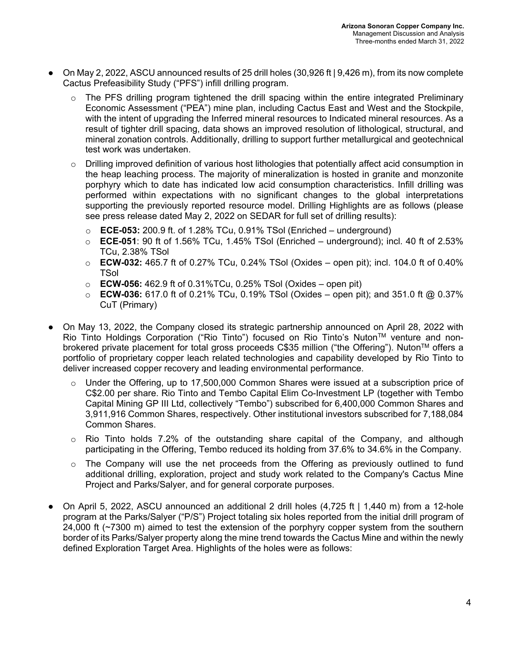- $\bullet$  On May 2, 2022, ASCU announced results of 25 drill holes (30,926 ft | 9,426 m), from its now complete Cactus Prefeasibility Study ("PFS") infill drilling program.
	- The PFS drilling program tightened the drill spacing within the entire integrated Preliminary Economic Assessment ("PEA") mine plan, including Cactus East and West and the Stockpile, with the intent of upgrading the Inferred mineral resources to Indicated mineral resources. As a result of tighter drill spacing, data shows an improved resolution of lithological, structural, and mineral zonation controls. Additionally, drilling to support further metallurgical and geotechnical test work was undertaken.
	- $\circ$  Drilling improved definition of various host lithologies that potentially affect acid consumption in the heap leaching process. The majority of mineralization is hosted in granite and monzonite porphyry which to date has indicated low acid consumption characteristics. Infill drilling was performed within expectations with no significant changes to the global interpretations supporting the previously reported resource model. Drilling Highlights are as follows (please see press release dated May 2, 2022 on SEDAR for full set of drilling results):
		- o **ECE-053:** 200.9 ft. of 1.28% TCu, 0.91% TSol (Enriched underground)
		- o **ECE-051**: 90 ft of 1.56% TCu, 1.45% TSol (Enriched underground); incl. 40 ft of 2.53% TCu, 2.38% TSol
		- o **ECW-032:** 465.7 ft of 0.27% TCu, 0.24% TSol (Oxides open pit); incl. 104.0 ft of 0.40% **TSol**
		- o **ECW-056:** 462.9 ft of 0.31%TCu, 0.25% TSol (Oxides open pit)
		- o **ECW-036:** 617.0 ft of 0.21% TCu, 0.19% TSol (Oxides open pit); and 351.0 ft @ 0.37% CuT (Primary)
- On May 13, 2022, the Company closed its strategic partnership announced on April 28, 2022 with Rio Tinto Holdings Corporation ("Rio Tinto") focused on Rio Tinto's NutonTM venture and nonbrokered private placement for total gross proceeds C\$35 million ("the Offering"). Nuton™ offers a portfolio of proprietary copper leach related technologies and capability developed by Rio Tinto to deliver increased copper recovery and leading environmental performance.
	- $\circ$  Under the Offering, up to 17,500,000 Common Shares were issued at a subscription price of C\$2.00 per share. Rio Tinto and Tembo Capital Elim Co-Investment LP (together with Tembo Capital Mining GP III Ltd, collectively "Tembo") subscribed for 6,400,000 Common Shares and 3,911,916 Common Shares, respectively. Other institutional investors subscribed for 7,188,084 Common Shares.
	- $\circ$  Rio Tinto holds 7.2% of the outstanding share capital of the Company, and although participating in the Offering, Tembo reduced its holding from 37.6% to 34.6% in the Company.
	- $\circ$  The Company will use the net proceeds from the Offering as previously outlined to fund additional drilling, exploration, project and study work related to the Company's Cactus Mine Project and Parks/Salyer, and for general corporate purposes.
- On April 5, 2022, ASCU announced an additional 2 drill holes (4,725 ft | 1,440 m) from a 12-hole program at the Parks/Salyer ("P/S") Project totaling six holes reported from the initial drill program of 24,000 ft (~7300 m) aimed to test the extension of the porphyry copper system from the southern border of its Parks/Salyer property along the mine trend towards the Cactus Mine and within the newly defined Exploration Target Area. Highlights of the holes were as follows: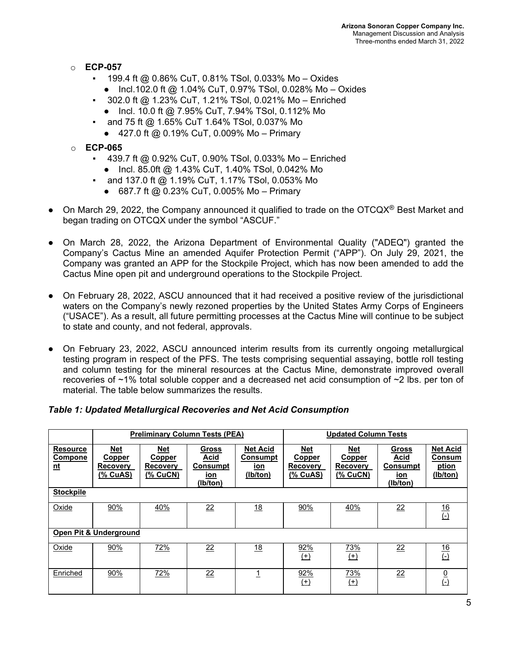- o **ECP-057** 
	- $\pm$  199.4 ft @ 0.86% CuT, 0.81% TSol, 0.033% Mo Oxides
		- Incl.102.0 ft @ 1.04% CuT, 0.97% TSol, 0.028% Mo Oxides
	- 302.0 ft @ 1.23% CuT, 1.21% TSol, 0.021% Mo Enriched
		- Incl. 10.0 ft @ 7.95% CuT, 7.94% TSol, 0.112% Mo
	- and 75 ft @ 1.65% CuT 1.64% TSol, 0.037% Mo
	- 427.0 ft @ 0.19% CuT, 0.009% Mo Primary
- o **ECP-065**
	- 439.7 ft @ 0.92% CuT, 0.90% TSol, 0.033% Mo Enriched
		- Incl. 85.0ft @ 1.43% CuT, 1.40% TSol, 0.042% Mo
	- **and 137.0 ft @ 1.19% CuT, 1.17% TSol, 0.053% Mo** 
		- 687.7 ft @ 0.23% CuT, 0.005% Mo Primary
- On March 29, 2022, the Company announced it qualified to trade on the OTCQX<sup>®</sup> Best Market and began trading on OTCQX under the symbol "ASCUF."
- On March 28, 2022, the Arizona Department of Environmental Quality ("ADEQ") granted the Company's Cactus Mine an amended Aquifer Protection Permit ("APP"). On July 29, 2021, the Company was granted an APP for the Stockpile Project, which has now been amended to add the Cactus Mine open pit and underground operations to the Stockpile Project.
- On February 28, 2022, ASCU announced that it had received a positive review of the jurisdictional waters on the Company's newly rezoned properties by the United States Army Corps of Engineers ("USACE"). As a result, all future permitting processes at the Cactus Mine will continue to be subject to state and county, and not federal, approvals.
- On February 23, 2022, ASCU announced interim results from its currently ongoing metallurgical testing program in respect of the PFS. The tests comprising sequential assaying, bottle roll testing and column testing for the mineral resources at the Cactus Mine, demonstrate improved overall recoveries of ~1% total soluble copper and a decreased net acid consumption of ~2 lbs. per ton of material. The table below summarizes the results.

#### *Table 1: Updated Metallurgical Recoveries and Net Acid Consumption*

|                                                | <b>Preliminary Column Tests (PEA)</b>                             |                                                            |                                                            | <b>Updated Column Tests</b>                           |                                                                   |                                                            |                                                                   |                                                       |
|------------------------------------------------|-------------------------------------------------------------------|------------------------------------------------------------|------------------------------------------------------------|-------------------------------------------------------|-------------------------------------------------------------------|------------------------------------------------------------|-------------------------------------------------------------------|-------------------------------------------------------|
| <b>Resource</b><br><b>Compone</b><br><u>nt</u> | <b>Net</b><br><b>Copper</b><br><b>Recovery</b><br><u>(% CuAS)</u> | Net<br><b>Copper</b><br><b>Recovery</b><br><u>(% CuCN)</u> | <b>Gross</b><br>Acid<br>Consumpt<br><u>ion</u><br>(Ib/ton) | <b>Net Acid</b><br><b>Consumpt</b><br>ion<br>(lb/ton) | <u>Net</u><br><b>Copper</b><br><b>Recovery</b><br><u>(% CuAS)</u> | <b>Net</b><br><b>Copper</b><br><b>Recovery</b><br>(% CuCN) | <b>Gross</b><br>Acid<br><b>Consumpt</b><br><u>ion</u><br>(lb/ton) | <b>Net Acid</b><br><b>Consum</b><br>ption<br>(Ib/ton) |
| <b>Stockpile</b>                               |                                                                   |                                                            |                                                            |                                                       |                                                                   |                                                            |                                                                   |                                                       |
| Oxide                                          | 90%                                                               | 40%                                                        | 22                                                         | 18                                                    | 90%                                                               | 40%                                                        | 22                                                                | $\frac{16}{\left(\cdot\right)}$                       |
| Open Pit & Underground                         |                                                                   |                                                            |                                                            |                                                       |                                                                   |                                                            |                                                                   |                                                       |
| Oxide                                          | 90%                                                               | <u>72%</u>                                                 | 22                                                         | 18                                                    | 92%<br>$(+)$                                                      | <u>73%</u><br>$(+)$                                        | 22                                                                | $\frac{16}{\left(\cdot\right)}$                       |
| Enriched                                       | 90%                                                               | 72%                                                        | 22                                                         |                                                       | 92%<br>$^{(+)}$                                                   | <u>73%</u><br>$(+)$                                        | 22                                                                | $\frac{0}{\sqrt{2}}$                                  |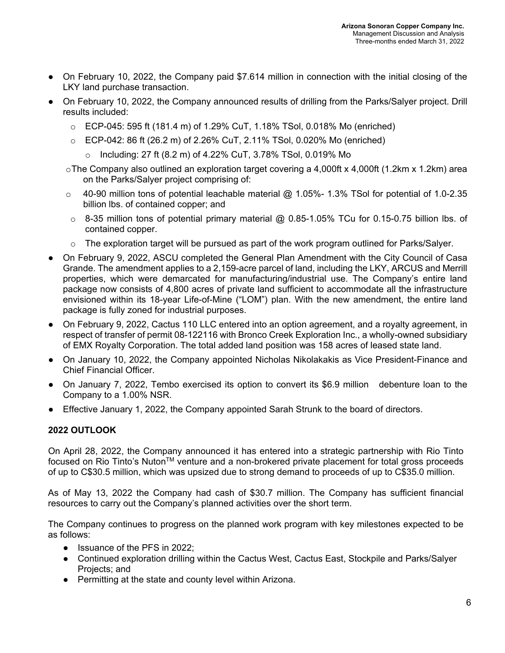- On February 10, 2022, the Company paid \$7.614 million in connection with the initial closing of the LKY land purchase transaction.
- On February 10, 2022, the Company announced results of drilling from the Parks/Salyer project. Drill results included:
	- $\circ$  ECP-045: 595 ft (181.4 m) of 1.29% CuT, 1.18% TSol, 0.018% Mo (enriched)
	- o ECP-042: 86 ft (26.2 m) of 2.26% CuT, 2.11% TSol, 0.020% Mo (enriched)
		- o Including: 27 ft (8.2 m) of 4.22% CuT, 3.78% TSol, 0.019% Mo
	- $\circ$ The Company also outlined an exploration target covering a 4,000ft x 4,000ft (1.2km x 1.2km) area on the Parks/Salyer project comprising of:
	- $\circ$  40-90 million tons of potential leachable material @ 1.05%- 1.3% TSol for potential of 1.0-2.35 billion lbs. of contained copper; and
	- $\circ$  8-35 million tons of potential primary material @ 0.85-1.05% TCu for 0.15-0.75 billion lbs. of contained copper.
	- $\circ$  The exploration target will be pursued as part of the work program outlined for Parks/Salyer.
- On February 9, 2022, ASCU completed the General Plan Amendment with the City Council of Casa Grande. The amendment applies to a 2,159-acre parcel of land, including the LKY, ARCUS and Merrill properties, which were demarcated for manufacturing/industrial use. The Company's entire land package now consists of 4,800 acres of private land sufficient to accommodate all the infrastructure envisioned within its 18-year Life-of-Mine ("LOM") plan. With the new amendment, the entire land package is fully zoned for industrial purposes.
- On February 9, 2022, Cactus 110 LLC entered into an option agreement, and a royalty agreement, in respect of transfer of permit 08-122116 with Bronco Creek Exploration Inc., a wholly-owned subsidiary of EMX Royalty Corporation. The total added land position was 158 acres of leased state land.
- On January 10, 2022, the Company appointed Nicholas Nikolakakis as Vice President-Finance and Chief Financial Officer.
- On January 7, 2022, Tembo exercised its option to convert its \$6.9 million debenture loan to the Company to a 1.00% NSR.
- Effective January 1, 2022, the Company appointed Sarah Strunk to the board of directors.

## **2022 OUTLOOK**

On April 28, 2022, the Company announced it has entered into a strategic partnership with Rio Tinto focused on Rio Tinto's Nuton<sup>™</sup> venture and a non-brokered private placement for total gross proceeds of up to C\$30.5 million, which was upsized due to strong demand to proceeds of up to C\$35.0 million.

As of May 13, 2022 the Company had cash of \$30.7 million. The Company has sufficient financial resources to carry out the Company's planned activities over the short term.

The Company continues to progress on the planned work program with key milestones expected to be as follows:

- Issuance of the PFS in 2022;
- Continued exploration drilling within the Cactus West, Cactus East, Stockpile and Parks/Salyer Projects; and
- Permitting at the state and county level within Arizona.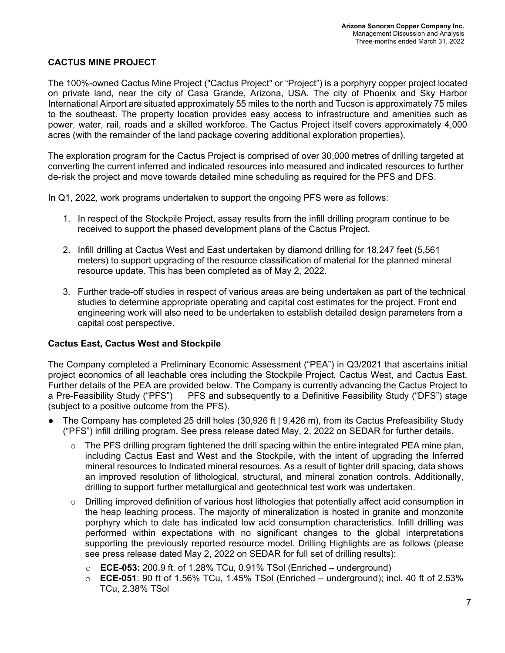### **CACTUS MINE PROJECT**

The 100%-owned Cactus Mine Project ("Cactus Project" or "Project") is a porphyry copper project located on private land, near the city of Casa Grande, Arizona, USA. The city of Phoenix and Sky Harbor International Airport are situated approximately 55 miles to the north and Tucson is approximately 75 miles to the southeast. The property location provides easy access to infrastructure and amenities such as power, water, rail, roads and a skilled workforce. The Cactus Project itself covers approximately 4,000 acres (with the remainder of the land package covering additional exploration properties).

The exploration program for the Cactus Project is comprised of over 30,000 metres of drilling targeted at converting the current inferred and indicated resources into measured and indicated resources to further de-risk the project and move towards detailed mine scheduling as required for the PFS and DFS.

In Q1, 2022, work programs undertaken to support the ongoing PFS were as follows:

- 1. In respect of the Stockpile Project, assay results from the infill drilling program continue to be received to support the phased development plans of the Cactus Project.
- 2. Infill drilling at Cactus West and East undertaken by diamond drilling for 18,247 feet (5,561 meters) to support upgrading of the resource classification of material for the planned mineral resource update. This has been completed as of May 2, 2022.
- 3. Further trade-off studies in respect of various areas are being undertaken as part of the technical studies to determine appropriate operating and capital cost estimates for the project. Front end engineering work will also need to be undertaken to establish detailed design parameters from a capital cost perspective.

#### **Cactus East, Cactus West and Stockpile**

The Company completed a Preliminary Economic Assessment ("PEA") in Q3/2021 that ascertains initial project economics of all leachable ores including the Stockpile Project, Cactus West, and Cactus East. Further details of the PEA are provided below. The Company is currently advancing the Cactus Project to a Pre-Feasibility Study ("PFS") PFS and subsequently to a Definitive Feasibility Study ("DFS") stage (subject to a positive outcome from the PFS).

- The Company has completed 25 drill holes (30,926 ft | 9,426 m), from its Cactus Prefeasibility Study ("PFS") infill drilling program. See press release dated May, 2, 2022 on SEDAR for further details.
	- $\circ$  The PFS drilling program tightened the drill spacing within the entire integrated PEA mine plan, including Cactus East and West and the Stockpile, with the intent of upgrading the Inferred mineral resources to Indicated mineral resources. As a result of tighter drill spacing, data shows an improved resolution of lithological, structural, and mineral zonation controls. Additionally, drilling to support further metallurgical and geotechnical test work was undertaken.
	- $\circ$  Drilling improved definition of various host lithologies that potentially affect acid consumption in the heap leaching process. The majority of mineralization is hosted in granite and monzonite porphyry which to date has indicated low acid consumption characteristics. Infill drilling was performed within expectations with no significant changes to the global interpretations supporting the previously reported resource model. Drilling Highlights are as follows (please see press release dated May 2, 2022 on SEDAR for full set of drilling results):
		- o **ECE-053:** 200.9 ft. of 1.28% TCu, 0.91% TSol (Enriched underground)
		- o **ECE-051**: 90 ft of 1.56% TCu, 1.45% TSol (Enriched underground); incl. 40 ft of 2.53% TCu, 2.38% TSol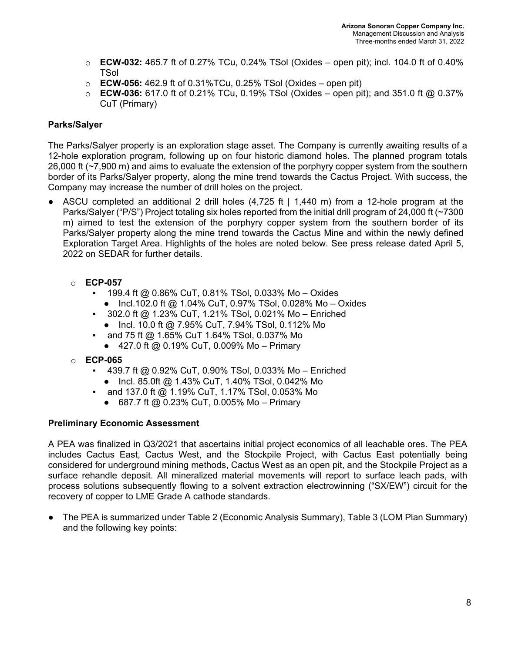- o **ECW-032:** 465.7 ft of 0.27% TCu, 0.24% TSol (Oxides open pit); incl. 104.0 ft of 0.40% **TSol**
- o **ECW-056:** 462.9 ft of 0.31%TCu, 0.25% TSol (Oxides open pit)
- o **ECW-036:** 617.0 ft of 0.21% TCu, 0.19% TSol (Oxides open pit); and 351.0 ft @ 0.37% CuT (Primary)

## **Parks/Salyer**

The Parks/Salyer property is an exploration stage asset. The Company is currently awaiting results of a 12-hole exploration program, following up on four historic diamond holes. The planned program totals 26,000 ft (~7,900 m) and aims to evaluate the extension of the porphyry copper system from the southern border of its Parks/Salyer property, along the mine trend towards the Cactus Project. With success, the Company may increase the number of drill holes on the project.

- ASCU completed an additional 2 drill holes (4,725 ft | 1,440 m) from a 12-hole program at the Parks/Salyer ("P/S") Project totaling six holes reported from the initial drill program of 24,000 ft (~7300 m) aimed to test the extension of the porphyry copper system from the southern border of its Parks/Salyer property along the mine trend towards the Cactus Mine and within the newly defined Exploration Target Area. Highlights of the holes are noted below. See press release dated April 5, 2022 on SEDAR for further details.
	- o **ECP-057** 
		- 199.4 ft @ 0.86% CuT, 0.81% TSol, 0.033% Mo Oxides
			- Incl.102.0 ft @ 1.04% CuT, 0.97% TSol, 0.028% Mo Oxides
		- $\blacksquare$  302.0 ft @ 1.23% CuT, 1.21% TSol, 0.021% Mo Enriched
			- Incl. 10.0 ft @ 7.95% CuT, 7.94% TSol, 0.112% Mo
		- and 75 ft @ 1.65% CuT 1.64% TSol, 0.037% Mo
			- 427.0 ft @ 0.19% CuT, 0.009% Mo Primary
	- o **ECP-065**
		- 439.7 ft @ 0.92% CuT, 0.90% TSol, 0.033% Mo Enriched
			- Incl. 85.0ft @ 1.43% CuT, 1.40% TSol, 0.042% Mo
			- and 137.0 ft @ 1.19% CuT, 1.17% TSol, 0.053% Mo
			- 687.7 ft @ 0.23% CuT, 0.005% Mo Primary

## **Preliminary Economic Assessment**

A PEA was finalized in Q3/2021 that ascertains initial project economics of all leachable ores. The PEA includes Cactus East, Cactus West, and the Stockpile Project, with Cactus East potentially being considered for underground mining methods, Cactus West as an open pit, and the Stockpile Project as a surface rehandle deposit. All mineralized material movements will report to surface leach pads, with process solutions subsequently flowing to a solvent extraction electrowinning ("SX/EW") circuit for the recovery of copper to LME Grade A cathode standards.

● The PEA is summarized under Table 2 (Economic Analysis Summary), Table 3 (LOM Plan Summary) and the following key points: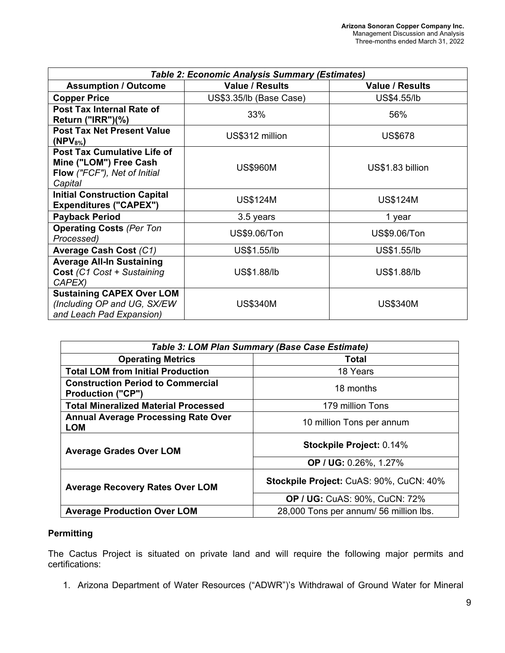| Table 2: Economic Analysis Summary (Estimates)                                                   |                         |                        |  |
|--------------------------------------------------------------------------------------------------|-------------------------|------------------------|--|
| <b>Assumption / Outcome</b>                                                                      | <b>Value / Results</b>  | <b>Value / Results</b> |  |
| <b>Copper Price</b>                                                                              | US\$3.35/lb (Base Case) | US\$4.55/lb            |  |
| Post Tax Internal Rate of<br>Return (" $IRR$ ")(%)                                               | 33%                     | 56%                    |  |
| <b>Post Tax Net Present Value</b><br>$(NPV_{8\%})$                                               | US\$312 million         | <b>US\$678</b>         |  |
| Post Tax Cumulative Life of<br>Mine ("LOM") Free Cash<br>Flow ("FCF"), Net of Initial<br>Capital | <b>US\$960M</b>         | US\$1.83 billion       |  |
| <b>Initial Construction Capital</b><br><b>Expenditures ("CAPEX")</b>                             | <b>US\$124M</b>         | <b>US\$124M</b>        |  |
| <b>Payback Period</b>                                                                            | 3.5 years               | 1 year                 |  |
| <b>Operating Costs (Per Ton</b><br>Processed)                                                    | US\$9.06/Ton            | US\$9.06/Ton           |  |
| Average Cash Cost (C1)                                                                           | US\$1.55/lb             | US\$1.55/lb            |  |
| <b>Average All-In Sustaining</b><br>Cost (C1 Cost + Sustaining<br>CAPEX)                         | US\$1.88/lb             | US\$1.88/lb            |  |
| <b>Sustaining CAPEX Over LOM</b><br>(Including OP and UG, SX/EW)<br>and Leach Pad Expansion)     | <b>US\$340M</b>         | <b>US\$340M</b>        |  |

| Table 3: LOM Plan Summary (Base Case Estimate)                       |                                         |  |  |
|----------------------------------------------------------------------|-----------------------------------------|--|--|
| <b>Operating Metrics</b>                                             | Total                                   |  |  |
| <b>Total LOM from Initial Production</b>                             | 18 Years                                |  |  |
| <b>Construction Period to Commercial</b><br><b>Production ("CP")</b> | 18 months                               |  |  |
| <b>Total Mineralized Material Processed</b>                          | 179 million Tons                        |  |  |
| <b>Annual Average Processing Rate Over</b><br><b>LOM</b>             | 10 million Tons per annum               |  |  |
| <b>Average Grades Over LOM</b>                                       | Stockpile Project: 0.14%                |  |  |
|                                                                      | OP / UG: 0.26%, 1.27%                   |  |  |
| <b>Average Recovery Rates Over LOM</b>                               | Stockpile Project: CuAS: 90%, CuCN: 40% |  |  |
|                                                                      | <b>OP / UG: CuAS: 90%, CuCN: 72%</b>    |  |  |
| <b>Average Production Over LOM</b>                                   | 28,000 Tons per annum/ 56 million lbs.  |  |  |

## **Permitting**

The Cactus Project is situated on private land and will require the following major permits and certifications:

1. Arizona Department of Water Resources ("ADWR")'s Withdrawal of Ground Water for Mineral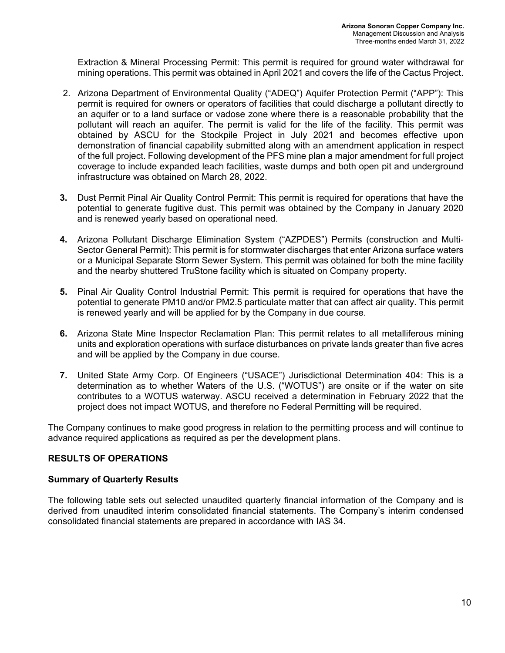Extraction & Mineral Processing Permit: This permit is required for ground water withdrawal for mining operations. This permit was obtained in April 2021 and covers the life of the Cactus Project.

- 2. Arizona Department of Environmental Quality ("ADEQ") Aquifer Protection Permit ("APP"): This permit is required for owners or operators of facilities that could discharge a pollutant directly to an aquifer or to a land surface or vadose zone where there is a reasonable probability that the pollutant will reach an aquifer. The permit is valid for the life of the facility. This permit was obtained by ASCU for the Stockpile Project in July 2021 and becomes effective upon demonstration of financial capability submitted along with an amendment application in respect of the full project. Following development of the PFS mine plan a major amendment for full project coverage to include expanded leach facilities, waste dumps and both open pit and underground infrastructure was obtained on March 28, 2022.
- **3.** Dust Permit Pinal Air Quality Control Permit: This permit is required for operations that have the potential to generate fugitive dust. This permit was obtained by the Company in January 2020 and is renewed yearly based on operational need.
- **4.** Arizona Pollutant Discharge Elimination System ("AZPDES") Permits (construction and Multi‐ Sector General Permit): This permit is for stormwater discharges that enter Arizona surface waters or a Municipal Separate Storm Sewer System. This permit was obtained for both the mine facility and the nearby shuttered TruStone facility which is situated on Company property.
- **5.** Pinal Air Quality Control Industrial Permit: This permit is required for operations that have the potential to generate PM10 and/or PM2.5 particulate matter that can affect air quality. This permit is renewed yearly and will be applied for by the Company in due course.
- **6.** Arizona State Mine Inspector Reclamation Plan: This permit relates to all metalliferous mining units and exploration operations with surface disturbances on private lands greater than five acres and will be applied by the Company in due course.
- **7.** United State Army Corp. Of Engineers ("USACE") Jurisdictional Determination 404: This is a determination as to whether Waters of the U.S. ("WOTUS") are onsite or if the water on site contributes to a WOTUS waterway. ASCU received a determination in February 2022 that the project does not impact WOTUS, and therefore no Federal Permitting will be required.

The Company continues to make good progress in relation to the permitting process and will continue to advance required applications as required as per the development plans.

## **RESULTS OF OPERATIONS**

## **Summary of Quarterly Results**

The following table sets out selected unaudited quarterly financial information of the Company and is derived from unaudited interim consolidated financial statements. The Company's interim condensed consolidated financial statements are prepared in accordance with IAS 34.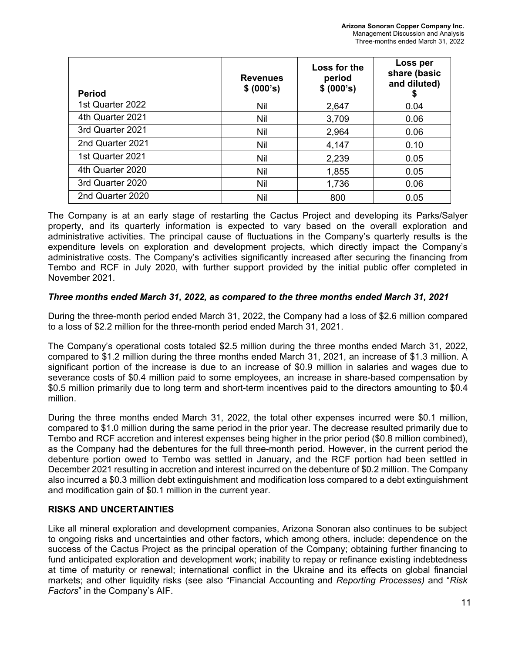| <b>Period</b>    | <b>Revenues</b><br>\$ (000's) | Loss for the<br>period<br>\$ (000's) | Loss per<br>share (basic<br>and diluted)<br>S |
|------------------|-------------------------------|--------------------------------------|-----------------------------------------------|
| 1st Quarter 2022 | Nil                           | 2,647                                | 0.04                                          |
| 4th Quarter 2021 | <b>Nil</b>                    | 3,709                                | 0.06                                          |
| 3rd Quarter 2021 | Nil                           | 2,964                                | 0.06                                          |
| 2nd Quarter 2021 | Nil                           | 4,147                                | 0.10                                          |
| 1st Quarter 2021 | Nil                           | 2,239                                | 0.05                                          |
| 4th Quarter 2020 | Nil                           | 1,855                                | 0.05                                          |
| 3rd Quarter 2020 | <b>Nil</b>                    | 1,736                                | 0.06                                          |
| 2nd Quarter 2020 | Nil                           | 800                                  | 0.05                                          |

The Company is at an early stage of restarting the Cactus Project and developing its Parks/Salyer property, and its quarterly information is expected to vary based on the overall exploration and administrative activities. The principal cause of fluctuations in the Company's quarterly results is the expenditure levels on exploration and development projects, which directly impact the Company's administrative costs. The Company's activities significantly increased after securing the financing from Tembo and RCF in July 2020, with further support provided by the initial public offer completed in November 2021.

## *Three months ended March 31, 2022, as compared to the three months ended March 31, 2021*

During the three-month period ended March 31, 2022, the Company had a loss of \$2.6 million compared to a loss of \$2.2 million for the three-month period ended March 31, 2021.

The Company's operational costs totaled \$2.5 million during the three months ended March 31, 2022, compared to \$1.2 million during the three months ended March 31, 2021, an increase of \$1.3 million. A significant portion of the increase is due to an increase of \$0.9 million in salaries and wages due to severance costs of \$0.4 million paid to some employees, an increase in share-based compensation by \$0.5 million primarily due to long term and short-term incentives paid to the directors amounting to \$0.4 million.

During the three months ended March 31, 2022, the total other expenses incurred were \$0.1 million, compared to \$1.0 million during the same period in the prior year. The decrease resulted primarily due to Tembo and RCF accretion and interest expenses being higher in the prior period (\$0.8 million combined), as the Company had the debentures for the full three-month period. However, in the current period the debenture portion owed to Tembo was settled in January, and the RCF portion had been settled in December 2021 resulting in accretion and interest incurred on the debenture of \$0.2 million. The Company also incurred a \$0.3 million debt extinguishment and modification loss compared to a debt extinguishment and modification gain of \$0.1 million in the current year.

## **RISKS AND UNCERTAINTIES**

Like all mineral exploration and development companies, Arizona Sonoran also continues to be subject to ongoing risks and uncertainties and other factors, which among others, include: dependence on the success of the Cactus Project as the principal operation of the Company; obtaining further financing to fund anticipated exploration and development work; inability to repay or refinance existing indebtedness at time of maturity or renewal; international conflict in the Ukraine and its effects on global financial markets; and other liquidity risks (see also "Financial Accounting and *Reporting Processes)* and "*Risk Factors*" in the Company's AIF.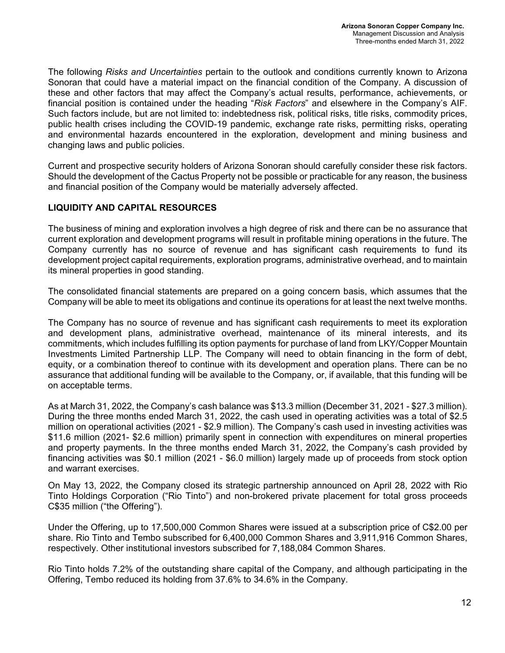The following *Risks and Uncertainties* pertain to the outlook and conditions currently known to Arizona Sonoran that could have a material impact on the financial condition of the Company. A discussion of these and other factors that may affect the Company's actual results, performance, achievements, or financial position is contained under the heading "*Risk Factors*" and elsewhere in the Company's AIF. Such factors include, but are not limited to: indebtedness risk, political risks, title risks, commodity prices, public health crises including the COVID-19 pandemic, exchange rate risks, permitting risks, operating and environmental hazards encountered in the exploration, development and mining business and changing laws and public policies.

Current and prospective security holders of Arizona Sonoran should carefully consider these risk factors. Should the development of the Cactus Property not be possible or practicable for any reason, the business and financial position of the Company would be materially adversely affected.

## **LIQUIDITY AND CAPITAL RESOURCES**

The business of mining and exploration involves a high degree of risk and there can be no assurance that current exploration and development programs will result in profitable mining operations in the future. The Company currently has no source of revenue and has significant cash requirements to fund its development project capital requirements, exploration programs, administrative overhead, and to maintain its mineral properties in good standing.

The consolidated financial statements are prepared on a going concern basis, which assumes that the Company will be able to meet its obligations and continue its operations for at least the next twelve months.

The Company has no source of revenue and has significant cash requirements to meet its exploration and development plans, administrative overhead, maintenance of its mineral interests, and its commitments, which includes fulfilling its option payments for purchase of land from LKY/Copper Mountain Investments Limited Partnership LLP. The Company will need to obtain financing in the form of debt, equity, or a combination thereof to continue with its development and operation plans. There can be no assurance that additional funding will be available to the Company, or, if available, that this funding will be on acceptable terms.

As at March 31, 2022, the Company's cash balance was \$13.3 million (December 31, 2021 - \$27.3 million). During the three months ended March 31, 2022, the cash used in operating activities was a total of \$2.5 million on operational activities (2021 - \$2.9 million). The Company's cash used in investing activities was \$11.6 million (2021- \$2.6 million) primarily spent in connection with expenditures on mineral properties and property payments. In the three months ended March 31, 2022, the Company's cash provided by financing activities was \$0.1 million (2021 - \$6.0 million) largely made up of proceeds from stock option and warrant exercises.

On May 13, 2022, the Company closed its strategic partnership announced on April 28, 2022 with Rio Tinto Holdings Corporation ("Rio Tinto") and non-brokered private placement for total gross proceeds C\$35 million ("the Offering").

Under the Offering, up to 17,500,000 Common Shares were issued at a subscription price of C\$2.00 per share. Rio Tinto and Tembo subscribed for 6,400,000 Common Shares and 3,911,916 Common Shares, respectively. Other institutional investors subscribed for 7,188,084 Common Shares.

Rio Tinto holds 7.2% of the outstanding share capital of the Company, and although participating in the Offering, Tembo reduced its holding from 37.6% to 34.6% in the Company.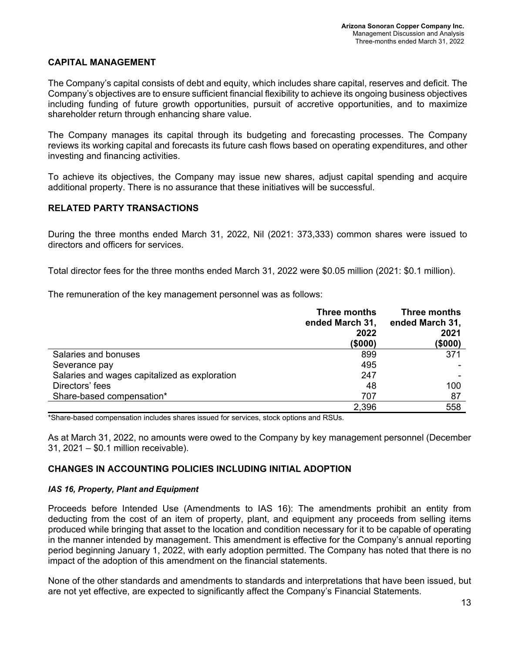### **CAPITAL MANAGEMENT**

The Company's capital consists of debt and equity, which includes share capital, reserves and deficit. The Company's objectives are to ensure sufficient financial flexibility to achieve its ongoing business objectives including funding of future growth opportunities, pursuit of accretive opportunities, and to maximize shareholder return through enhancing share value.

The Company manages its capital through its budgeting and forecasting processes. The Company reviews its working capital and forecasts its future cash flows based on operating expenditures, and other investing and financing activities.

To achieve its objectives, the Company may issue new shares, adjust capital spending and acquire additional property. There is no assurance that these initiatives will be successful.

## **RELATED PARTY TRANSACTIONS**

During the three months ended March 31, 2022, Nil (2021: 373,333) common shares were issued to directors and officers for services.

Total director fees for the three months ended March 31, 2022 were \$0.05 million (2021: \$0.1 million).

The remuneration of the key management personnel was as follows:

|                                               | Three months<br>ended March 31,<br>2022<br>(\$000) | Three months<br>ended March 31,<br>2021<br>(\$000) |
|-----------------------------------------------|----------------------------------------------------|----------------------------------------------------|
| Salaries and bonuses                          | 899                                                | 371                                                |
| Severance pay                                 | 495                                                |                                                    |
| Salaries and wages capitalized as exploration | 247                                                |                                                    |
| Directors' fees                               | 48                                                 | 100                                                |
| Share-based compensation*                     | 707                                                | 87                                                 |
|                                               | 2,396                                              | 558                                                |

\*Share-based compensation includes shares issued for services, stock options and RSUs.

As at March 31, 2022, no amounts were owed to the Company by key management personnel (December 31, 2021 – \$0.1 million receivable).

## **CHANGES IN ACCOUNTING POLICIES INCLUDING INITIAL ADOPTION**

#### *IAS 16, Property, Plant and Equipment*

Proceeds before Intended Use (Amendments to IAS 16): The amendments prohibit an entity from deducting from the cost of an item of property, plant, and equipment any proceeds from selling items produced while bringing that asset to the location and condition necessary for it to be capable of operating in the manner intended by management. This amendment is effective for the Company's annual reporting period beginning January 1, 2022, with early adoption permitted. The Company has noted that there is no impact of the adoption of this amendment on the financial statements.

None of the other standards and amendments to standards and interpretations that have been issued, but are not yet effective, are expected to significantly affect the Company's Financial Statements.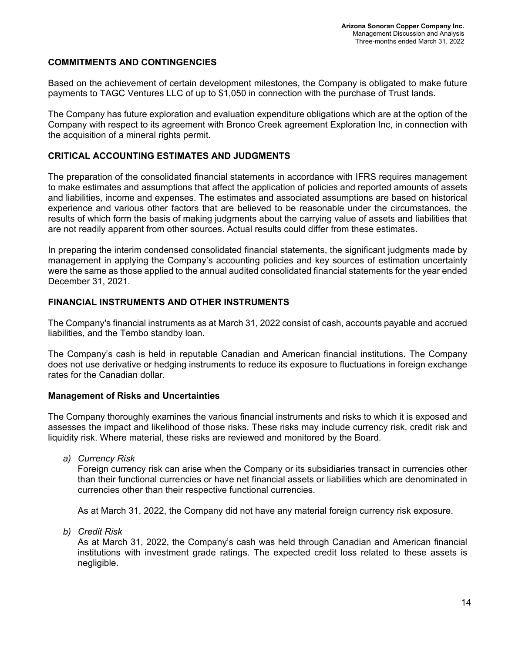### **COMMITMENTS AND CONTINGENCIES**

Based on the achievement of certain development milestones, the Company is obligated to make future payments to TAGC Ventures LLC of up to \$1,050 in connection with the purchase of Trust lands.

The Company has future exploration and evaluation expenditure obligations which are at the option of the Company with respect to its agreement with Bronco Creek agreement Exploration Inc, in connection with the acquisition of a mineral rights permit.

### **CRITICAL ACCOUNTING ESTIMATES AND JUDGMENTS**

The preparation of the consolidated financial statements in accordance with IFRS requires management to make estimates and assumptions that affect the application of policies and reported amounts of assets and liabilities, income and expenses. The estimates and associated assumptions are based on historical experience and various other factors that are believed to be reasonable under the circumstances, the results of which form the basis of making judgments about the carrying value of assets and liabilities that are not readily apparent from other sources. Actual results could differ from these estimates.

In preparing the interim condensed consolidated financial statements, the significant judgments made by management in applying the Company's accounting policies and key sources of estimation uncertainty were the same as those applied to the annual audited consolidated financial statements for the year ended December 31, 2021.

#### **FINANCIAL INSTRUMENTS AND OTHER INSTRUMENTS**

The Company's financial instruments as at March 31, 2022 consist of cash, accounts payable and accrued liabilities, and the Tembo standby loan.

The Company's cash is held in reputable Canadian and American financial institutions. The Company does not use derivative or hedging instruments to reduce its exposure to fluctuations in foreign exchange rates for the Canadian dollar.

#### **Management of Risks and Uncertainties**

The Company thoroughly examines the various financial instruments and risks to which it is exposed and assesses the impact and likelihood of those risks. These risks may include currency risk, credit risk and liquidity risk. Where material, these risks are reviewed and monitored by the Board.

*a) Currency Risk*

Foreign currency risk can arise when the Company or its subsidiaries transact in currencies other than their functional currencies or have net financial assets or liabilities which are denominated in currencies other than their respective functional currencies.

As at March 31, 2022, the Company did not have any material foreign currency risk exposure.

*b) Credit Risk*

As at March 31, 2022, the Company's cash was held through Canadian and American financial institutions with investment grade ratings. The expected credit loss related to these assets is negligible.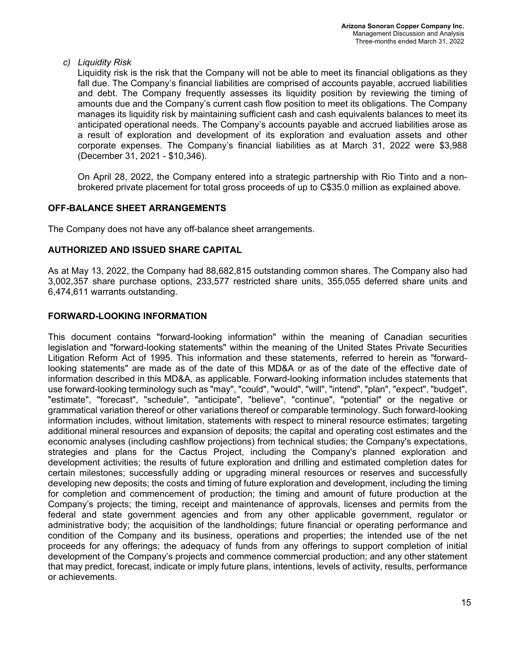*c) Liquidity Risk*

Liquidity risk is the risk that the Company will not be able to meet its financial obligations as they fall due. The Company's financial liabilities are comprised of accounts payable, accrued liabilities and debt. The Company frequently assesses its liquidity position by reviewing the timing of amounts due and the Company's current cash flow position to meet its obligations. The Company manages its liquidity risk by maintaining sufficient cash and cash equivalents balances to meet its anticipated operational needs. The Company's accounts payable and accrued liabilities arose as a result of exploration and development of its exploration and evaluation assets and other corporate expenses. The Company's financial liabilities as at March 31, 2022 were \$3,988 (December 31, 2021 - \$10,346).

On April 28, 2022, the Company entered into a strategic partnership with Rio Tinto and a nonbrokered private placement for total gross proceeds of up to C\$35.0 million as explained above.

## **OFF-BALANCE SHEET ARRANGEMENTS**

The Company does not have any off-balance sheet arrangements.

### **AUTHORIZED AND ISSUED SHARE CAPITAL**

As at May 13, 2022, the Company had 88,682,815 outstanding common shares. The Company also had 3,002,357 share purchase options, 233,577 restricted share units, 355,055 deferred share units and 6,474,611 warrants outstanding.

### **FORWARD-LOOKING INFORMATION**

This document contains "forward-looking information" within the meaning of Canadian securities legislation and "forward-looking statements" within the meaning of the United States Private Securities Litigation Reform Act of 1995. This information and these statements, referred to herein as "forwardlooking statements" are made as of the date of this MD&A or as of the date of the effective date of information described in this MD&A, as applicable. Forward-looking information includes statements that use forward-looking terminology such as "may", "could", "would", "will", "intend", "plan", "expect", "budget", "estimate", "forecast", "schedule", "anticipate", "believe", "continue", "potential" or the negative or grammatical variation thereof or other variations thereof or comparable terminology. Such forward-looking information includes, without limitation, statements with respect to mineral resource estimates; targeting additional mineral resources and expansion of deposits; the capital and operating cost estimates and the economic analyses (including cashflow projections) from technical studies; the Company's expectations, strategies and plans for the Cactus Project, including the Company's planned exploration and development activities; the results of future exploration and drilling and estimated completion dates for certain milestones; successfully adding or upgrading mineral resources or reserves and successfully developing new deposits; the costs and timing of future exploration and development, including the timing for completion and commencement of production; the timing and amount of future production at the Company's projects; the timing, receipt and maintenance of approvals, licenses and permits from the federal and state government agencies and from any other applicable government, regulator or administrative body; the acquisition of the landholdings; future financial or operating performance and condition of the Company and its business, operations and properties; the intended use of the net proceeds for any offerings; the adequacy of funds from any offerings to support completion of initial development of the Company's projects and commence commercial production; and any other statement that may predict, forecast, indicate or imply future plans, intentions, levels of activity, results, performance or achievements.